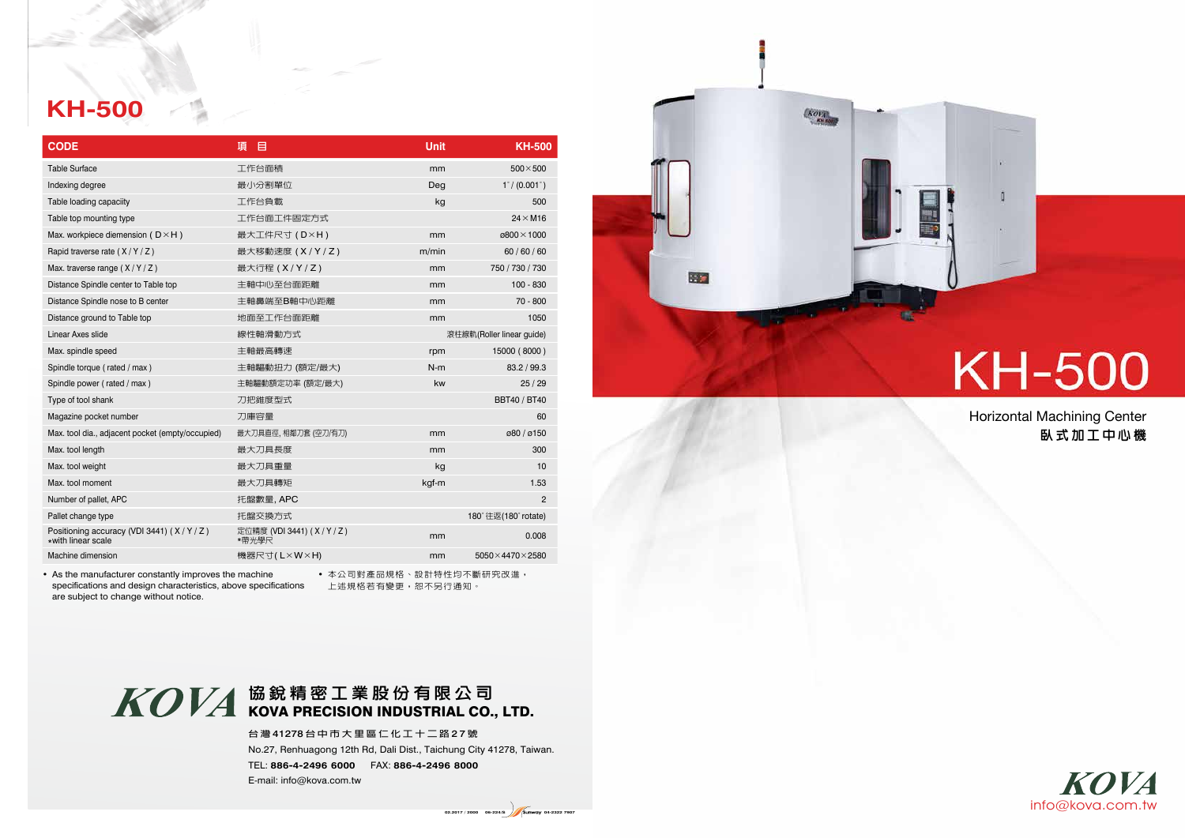

# **KH-500**

| <b>CODE</b>                                                   | 目<br>頂                           | <b>Unit</b> | <b>KH-500</b>                     |
|---------------------------------------------------------------|----------------------------------|-------------|-----------------------------------|
| <b>Table Surface</b>                                          | 工作台面積                            | mm          | $500\times500$                    |
| Indexing degree                                               | 最小分割單位                           | Deg         | $1^{\circ}$ / (0.001 $^{\circ}$ ) |
| Table loading capaciity                                       | 工作台負載                            | kg          | 500                               |
| Table top mounting type                                       | 工作台面工件固定方式                       |             | $24 \times M16$                   |
| Max. workpiece diemension ( $D \times H$ )                    | 最大工件尺寸 (D×H)                     | mm          | $\varnothing$ 800 $\times$ 1000   |
| Rapid traverse rate $(X/Y/Z)$                                 | 最大移動速度 (X/Y/Z)                   | m/min       | 60/60/60                          |
| Max. traverse range $(X/Y/Z)$                                 | 最大行程 (X/Y/Z)                     | mm          | 750 / 730 / 730                   |
| Distance Spindle center to Table top                          | 主軸中心至台面距離                        | mm          | $100 - 830$                       |
| Distance Spindle nose to B center                             | 主軸鼻端至B軸中心距離                      | mm          | $70 - 800$                        |
| Distance ground to Table top                                  | 地面至工作台面距離                        | mm          | 1050                              |
| Linear Axes slide                                             | 線性軸滑動方式                          |             | 滾柱線軌(Roller linear guide)         |
| Max. spindle speed                                            | 主軸最高轉速                           | rpm         | 15000 (8000)                      |
| Spindle torque (rated / max)                                  | 主軸驅動扭力 (額定/最大)                   | $N-m$       | 83.2 / 99.3                       |
| Spindle power (rated / max)                                   | 主軸驅動額定功率 (額定/最大)                 | kw          | 25/29                             |
| Type of tool shank                                            | 刀把錐度型式                           |             | <b>BBT40 / BT40</b>               |
| Magazine pocket number                                        | 刀庫容量                             |             | 60                                |
| Max. tool dia., adjacent pocket (empty/occupied)              | 最大刀具直徑,相鄰刀套 (空刀/有刀)              | mm          | ø80 / ø150                        |
| Max. tool length                                              | 最大刀具長度                           | mm          | 300                               |
| Max. tool weight                                              | 最大刀具重量                           | kg          | 10                                |
| Max. tool moment                                              | 最大刀具轉矩                           | kgf-m       | 1.53                              |
| Number of pallet, APC                                         | 托盤數量, APC                        |             | 2                                 |
| Pallet change type                                            | 托盤交換方式                           |             | 180° 往返(180° rotate)              |
| Positioning accuracy (VDI 3441) (X/Y/Z)<br>*with linear scale | 定位精度 (VDI 3441) (X/Y/Z)<br>*帶光學尺 | mm          | 0.008                             |
| Machine dimension                                             | 機器尺寸(L×W×H)                      | mm          | $5050 \times 4470 \times 2580$    |
|                                                               |                                  |             |                                   |

• 本公司對產品規格、設計特性均不斷研究改進, 上述規格若有變更,恕不另行通知。



• As the manufacturer constantly improves the machine specifications and design characteristics, above specifications are subject to change without notice.

## Horizontal Machining Center **臥式加工中心機**

## KOVA PRECISION INDUSTRIAL CO., LTD. **協銳精密工業股份有限公司**

**台 灣** 41278 **台 中市大里區仁化工十二路** 2 7 **號** No.27, Renhuagong 12th Rd, Dali Dist., Taichung City 41278, Taiwan. TEL: **886-4-2496 6000** FAX: **886-4-2496 8000** E-mail: info@kova.com.tw

06-224/S **/ Sunway** 04-2322 7907